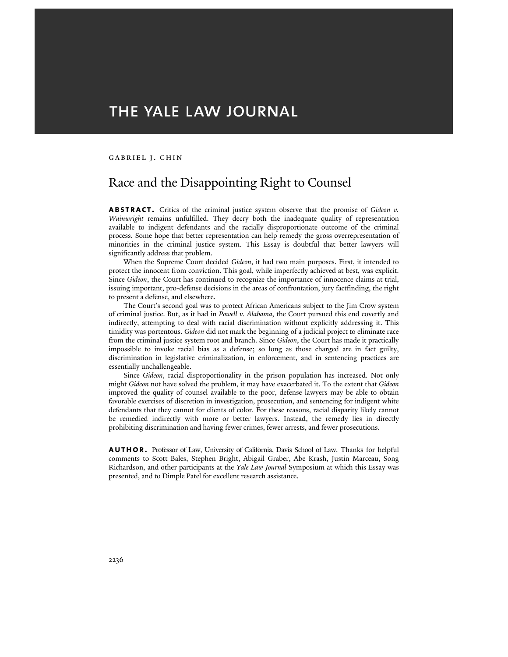# THE YALE LAW JOURNAL

## Gabriel J. Chin

# Race and the Disappointing Right to Counsel

**abstract.** Critics of the criminal justice system observe that the promise of *Gideon v. Wainwright* remains unfulfilled. They decry both the inadequate quality of representation available to indigent defendants and the racially disproportionate outcome of the criminal process. Some hope that better representation can help remedy the gross overrepresentation of minorities in the criminal justice system. This Essay is doubtful that better lawyers will significantly address that problem.

When the Supreme Court decided *Gideon*, it had two main purposes. First, it intended to protect the innocent from conviction. This goal, while imperfectly achieved at best, was explicit. Since *Gideon*, the Court has continued to recognize the importance of innocence claims at trial, issuing important, pro-defense decisions in the areas of confrontation, jury factfinding, the right to present a defense, and elsewhere.

The Court's second goal was to protect African Americans subject to the Jim Crow system of criminal justice. But, as it had in *Powell v. Alabama*, the Court pursued this end covertly and indirectly, attempting to deal with racial discrimination without explicitly addressing it. This timidity was portentous. *Gideon* did not mark the beginning of a judicial project to eliminate race from the criminal justice system root and branch. Since *Gideon*, the Court has made it practically impossible to invoke racial bias as a defense; so long as those charged are in fact guilty, discrimination in legislative criminalization, in enforcement, and in sentencing practices are essentially unchallengeable.

Since *Gideon*, racial disproportionality in the prison population has increased. Not only might *Gideon* not have solved the problem, it may have exacerbated it. To the extent that *Gideon*  improved the quality of counsel available to the poor, defense lawyers may be able to obtain favorable exercises of discretion in investigation, prosecution, and sentencing for indigent white defendants that they cannot for clients of color. For these reasons, racial disparity likely cannot be remedied indirectly with more or better lawyers. Instead, the remedy lies in directly prohibiting discrimination and having fewer crimes, fewer arrests, and fewer prosecutions.

**author.** Professor of Law, University of California, Davis School of Law. Thanks for helpful comments to Scott Bales, Stephen Bright, Abigail Graber, Abe Krash, Justin Marceau, Song Richardson, and other participants at the *Yale Law Journal* Symposium at which this Essay was presented, and to Dimple Patel for excellent research assistance.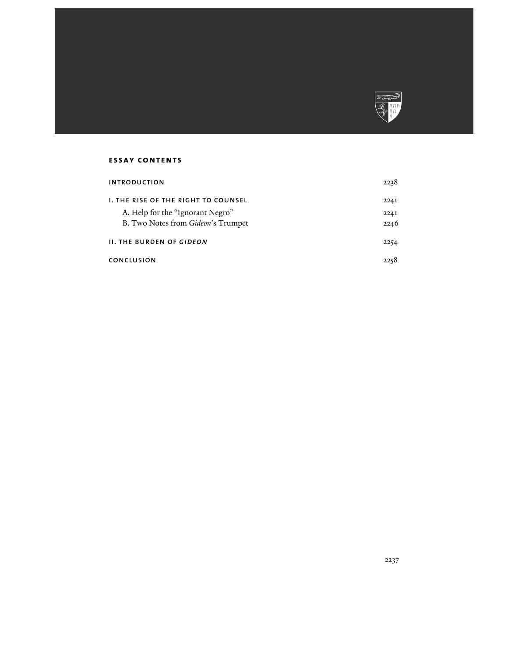

# **essay contents**

| <b>INTRODUCTION</b>                        | 2238 |
|--------------------------------------------|------|
| <b>1. THE RISE OF THE RIGHT TO COUNSEL</b> | 2241 |
| A. Help for the "Ignorant Negro"           | 2241 |
| B. Two Notes from Gideon's Trumpet         | 2246 |
| <b>II. THE BURDEN OF GIDEON</b>            | 2254 |
| <b>CONCLUSION</b>                          | 2258 |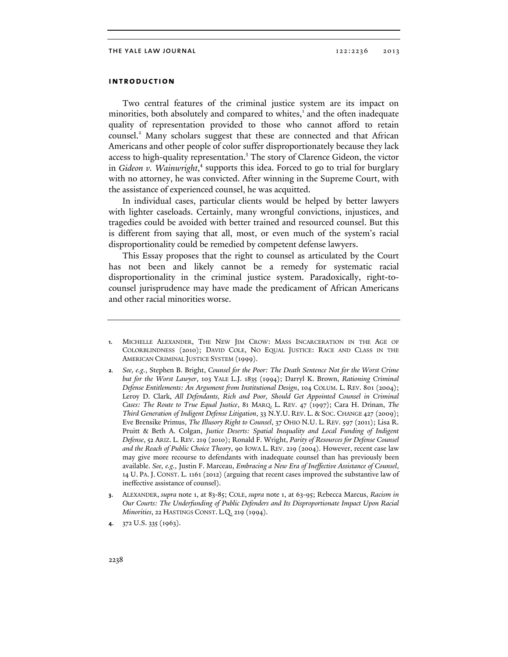# **introduction**

Two central features of the criminal justice system are its impact on minorities, both absolutely and compared to whites,<sup>1</sup> and the often inadequate quality of representation provided to those who cannot afford to retain counsel.<sup>2</sup> Many scholars suggest that these are connected and that African Americans and other people of color suffer disproportionately because they lack access to high-quality representation.<sup>3</sup> The story of Clarence Gideon, the victor in Gideon v. Wainwright,<sup>4</sup> supports this idea. Forced to go to trial for burglary with no attorney, he was convicted. After winning in the Supreme Court, with the assistance of experienced counsel, he was acquitted.

In individual cases, particular clients would be helped by better lawyers with lighter caseloads. Certainly, many wrongful convictions, injustices, and tragedies could be avoided with better trained and resourced counsel. But this is different from saying that all, most, or even much of the system's racial disproportionality could be remedied by competent defense lawyers.

This Essay proposes that the right to counsel as articulated by the Court has not been and likely cannot be a remedy for systematic racial disproportionality in the criminal justice system. Paradoxically, right-tocounsel jurisprudence may have made the predicament of African Americans and other racial minorities worse.

- **1**. MICHELLE ALEXANDER, THE NEW JIM CROW: MASS INCARCERATION IN THE AGE OF COLORBLINDNESS (2010); DAVID COLE, NO EQUAL JUSTICE: RACE AND CLASS IN THE AMERICAN CRIMINAL JUSTICE SYSTEM (1999).
- **2***. See, e.g.*, Stephen B. Bright, *Counsel for the Poor: The Death Sentence Not for the Worst Crime but for the Worst Lawyer*, 103 YALE L.J. 1835 (1994); Darryl K. Brown, *Rationing Criminal Defense Entitlements: An Argument from Institutional Design*, 104 COLUM. L. REV. 801 (2004); Leroy D. Clark, *All Defendants, Rich and Poor, Should Get Appointed Counsel in Criminal Cases: The Route to True Equal Justice*, 81 MARQ. L. REV. 47 (1997); Cara H. Drinan, *The Third Generation of Indigent Defense Litigation*, 33 N.Y.U. REV. L. & SOC. CHANGE 427 (2009); Eve Brensike Primus, *The Illusory Right to Counsel*, 37 OHIO N.U. L. REV. 597 (2011); Lisa R. Pruitt & Beth A. Colgan, *Justice Deserts: Spatial Inequality and Local Funding of Indigent Defense*, 52 ARIZ. L. REV. 219 (2010); Ronald F. Wright, *Parity of Resources for Defense Counsel and the Reach of Public Choice Theory*, 90 IOWA L. REV. 219 (2004). However, recent case law may give more recourse to defendants with inadequate counsel than has previously been available. *See, e.g.,* Justin F. Marceau, *Embracing a New Era of Ineffective Assistance of Counsel*, 14 U. PA. J. CONST. L. 1161 (2012) (arguing that recent cases improved the substantive law of ineffective assistance of counsel).
- **3**. ALEXANDER, *supra* note 1, at 83-85; COLE, *supra* note 1, at 63-95; Rebecca Marcus, *Racism in Our Courts: The Underfunding of Public Defenders and Its Disproportionate Impact Upon Racial Minorities*, 22 HASTINGS CONST. L.Q. 219 (1994).
- **4**. 372 U.S. 335 (1963).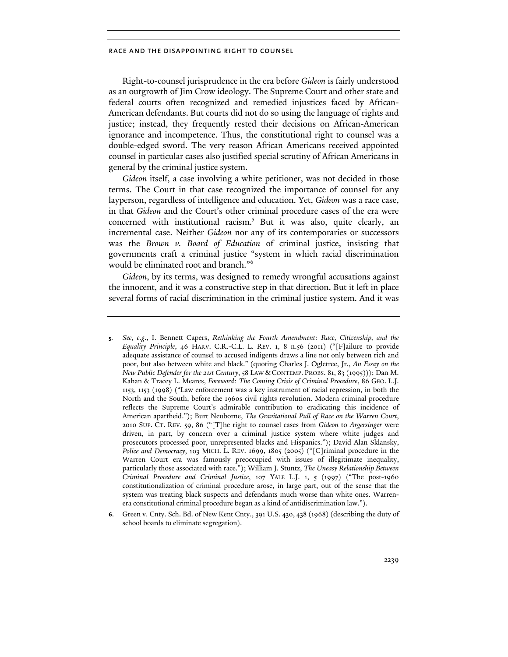Right-to-counsel jurisprudence in the era before *Gideon* is fairly understood as an outgrowth of Jim Crow ideology. The Supreme Court and other state and federal courts often recognized and remedied injustices faced by African-American defendants. But courts did not do so using the language of rights and justice; instead, they frequently rested their decisions on African-American ignorance and incompetence. Thus, the constitutional right to counsel was a double-edged sword. The very reason African Americans received appointed counsel in particular cases also justified special scrutiny of African Americans in general by the criminal justice system.

*Gideon* itself, a case involving a white petitioner, was not decided in those terms. The Court in that case recognized the importance of counsel for any layperson, regardless of intelligence and education. Yet, *Gideon* was a race case, in that *Gideon* and the Court's other criminal procedure cases of the era were concerned with institutional racism.<sup>5</sup> But it was also, quite clearly, an incremental case. Neither *Gideon* nor any of its contemporaries or successors was the *Brown v. Board of Education* of criminal justice, insisting that governments craft a criminal justice "system in which racial discrimination would be eliminated root and branch."6

*Gideon*, by its terms, was designed to remedy wrongful accusations against the innocent, and it was a constructive step in that direction. But it left in place several forms of racial discrimination in the criminal justice system. And it was

- **5***. See, e.g.*, I. Bennett Capers, *Rethinking the Fourth Amendment: Race, Citizenship, and the Equality Principle*, 46 HARV. C.R.-C.L. L. REV. 1, 8 n.56 (2011) ("[F]ailure to provide adequate assistance of counsel to accused indigents draws a line not only between rich and poor, but also between white and black." (quoting Charles J. Ogletree, Jr., *An Essay on the New Public Defender for the 21st Century*, 58 LAW & CONTEMP. PROBS. 81, 83 (1995))); Dan M. Kahan & Tracey L. Meares, *Foreword: The Coming Crisis of Criminal Procedure*, 86 GEO. L.J. 1153, 1153 (1998) ("Law enforcement was a key instrument of racial repression, in both the North and the South, before the 1960s civil rights revolution. Modern criminal procedure reflects the Supreme Court's admirable contribution to eradicating this incidence of American apartheid."); Burt Neuborne, *The Gravitational Pull of Race on the Warren Court*, 2010 SUP. CT. REV. 59, 86 ("[T]he right to counsel cases from *Gideon* to *Argersinger* were driven, in part, by concern over a criminal justice system where white judges and prosecutors processed poor, unrepresented blacks and Hispanics."); David Alan Sklansky, *Police and Democracy*, 103 MICH. L. REV. 1699, 1805 (2005) ("[C]riminal procedure in the Warren Court era was famously preoccupied with issues of illegitimate inequality, particularly those associated with race."); William J. Stuntz, *The Uneasy Relationship Between Criminal Procedure and Criminal Justice*, 107 YALE L.J. 1, 5 (1997) ("The post-1960 constitutionalization of criminal procedure arose, in large part, out of the sense that the system was treating black suspects and defendants much worse than white ones. Warrenera constitutional criminal procedure began as a kind of antidiscrimination law.").
- **6**. Green v. Cnty. Sch. Bd. of New Kent Cnty., 391 U.S. 430, 438 (1968) (describing the duty of school boards to eliminate segregation).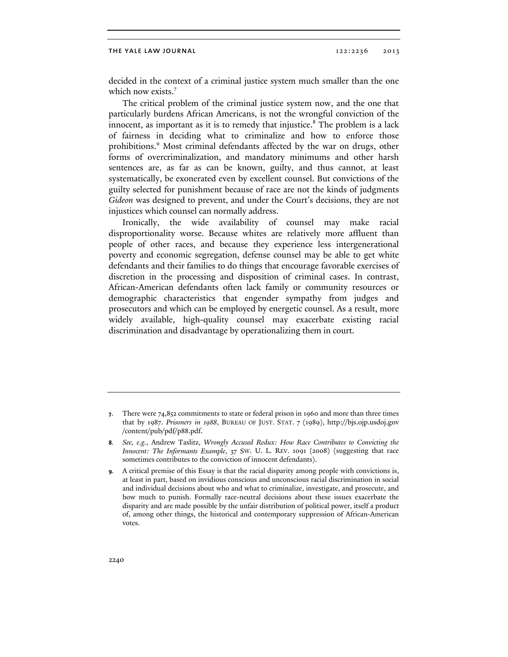decided in the context of a criminal justice system much smaller than the one which now exists.<sup>7</sup>

The critical problem of the criminal justice system now, and the one that particularly burdens African Americans, is not the wrongful conviction of the innocent, as important as it is to remedy that injustice. $8$  The problem is a lack of fairness in deciding what to criminalize and how to enforce those prohibitions.<sup>9</sup> Most criminal defendants affected by the war on drugs, other forms of overcriminalization, and mandatory minimums and other harsh sentences are, as far as can be known, guilty, and thus cannot, at least systematically, be exonerated even by excellent counsel. But convictions of the guilty selected for punishment because of race are not the kinds of judgments *Gideon* was designed to prevent, and under the Court's decisions, they are not injustices which counsel can normally address.

Ironically, the wide availability of counsel may make racial disproportionality worse. Because whites are relatively more affluent than people of other races, and because they experience less intergenerational poverty and economic segregation, defense counsel may be able to get white defendants and their families to do things that encourage favorable exercises of discretion in the processing and disposition of criminal cases. In contrast, African-American defendants often lack family or community resources or demographic characteristics that engender sympathy from judges and prosecutors and which can be employed by energetic counsel. As a result, more widely available, high-quality counsel may exacerbate existing racial discrimination and disadvantage by operationalizing them in court.

**<sup>7</sup>**. There were 74,852 commitments to state or federal prison in 1960 and more than three times that by 1987. *Prisoners in 1988*, BUREAU OF JUST. STAT. 7 (1989), http://bjs.ojp.usdoj.gov /content/pub/pdf/p88.pdf.

**<sup>8</sup>***. See, e.g.*, Andrew Taslitz, *Wrongly Accused Redux: How Race Contributes to Convicting the Innocent: The Informants Example*, 37 SW. U. L. REV. 1091 (2008) (suggesting that race sometimes contributes to the conviction of innocent defendants).

**<sup>9</sup>***.* A critical premise of this Essay is that the racial disparity among people with convictions is, at least in part, based on invidious conscious and unconscious racial discrimination in social and individual decisions about who and what to criminalize, investigate, and prosecute, and how much to punish. Formally race-neutral decisions about these issues exacerbate the disparity and are made possible by the unfair distribution of political power, itself a product of, among other things, the historical and contemporary suppression of African-American votes.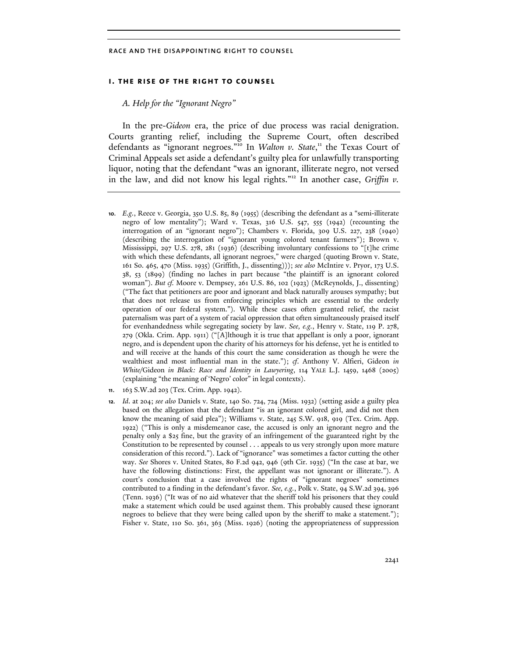# **i. the rise of the right to counsel**

#### *A. Help for the "Ignorant Negro"*

In the pre-*Gideon* era, the price of due process was racial denigration. Courts granting relief, including the Supreme Court, often described defendants as "ignorant negroes."<sup>10</sup> In *Walton v. State*," the Texas Court of Criminal Appeals set aside a defendant's guilty plea for unlawfully transporting liquor, noting that the defendant "was an ignorant, illiterate negro, not versed in the law, and did not know his legal rights."<sup>12</sup> In another case, *Griffin v*.

- **10***. E.g.*, Reece v. Georgia, 350 U.S. 85, 89 (1955) (describing the defendant as a "semi-illiterate negro of low mentality"); Ward v. Texas, 316 U.S. 547, 555 (1942) (recounting the interrogation of an "ignorant negro"); Chambers v. Florida, 309 U.S. 227, 238 (1940) (describing the interrogation of "ignorant young colored tenant farmers"); Brown v. Mississippi, 297 U.S. 278, 281 (1936) (describing involuntary confessions to "[t]he crime with which these defendants, all ignorant negroes," were charged (quoting Brown v. State, 161 So. 465, 470 (Miss. 1935) (Griffith, J., dissenting))); *see also* McIntire v. Pryor, 173 U.S. 38, 53 (1899) (finding no laches in part because "the plaintiff is an ignorant colored woman"). *But cf.* Moore v. Dempsey, 261 U.S. 86, 102 (1923) (McReynolds, J., dissenting) ("The fact that petitioners are poor and ignorant and black naturally arouses sympathy; but that does not release us from enforcing principles which are essential to the orderly operation of our federal system."). While these cases often granted relief, the racist paternalism was part of a system of racial oppression that often simultaneously praised itself for evenhandedness while segregating society by law. *See, e.g.*, Henry v. State, 119 P. 278, 279 (Okla. Crim. App. 1911) ("[A]lthough it is true that appellant is only a poor, ignorant negro, and is dependent upon the charity of his attorneys for his defense, yet he is entitled to and will receive at the hands of this court the same consideration as though he were the wealthiest and most influential man in the state."); *cf*. Anthony V. Alfieri, Gideon *in White*/Gideon *in Black: Race and Identity in Lawyering*, 114 YALE L.J. 1459, 1468 (2005) (explaining "the meaning of 'Negro' color" in legal contexts).
- **11**. 163 S.W.2d 203 (Tex. Crim. App. 1942).
- **12***. Id*. at 204; *see also* Daniels v. State, 140 So. 724, 724 (Miss. 1932) (setting aside a guilty plea based on the allegation that the defendant "is an ignorant colored girl, and did not then know the meaning of said plea"); Williams v. State, 245 S.W. 918, 919 (Tex. Crim. App. 1922) ("This is only a misdemeanor case, the accused is only an ignorant negro and the penalty only a \$25 fine, but the gravity of an infringement of the guaranteed right by the Constitution to be represented by counsel . . . appeals to us very strongly upon more mature consideration of this record."). Lack of "ignorance" was sometimes a factor cutting the other way. *See* Shores v. United States, 80 F.2d 942, 946 (9th Cir. 1935) ("In the case at bar, we have the following distinctions: First, the appellant was not ignorant or illiterate."). A court's conclusion that a case involved the rights of "ignorant negroes" sometimes contributed to a finding in the defendant's favor*. See, e.g.*, Polk v. State, 94 S.W.2d 394, 396 (Tenn. 1936) ("It was of no aid whatever that the sheriff told his prisoners that they could make a statement which could be used against them. This probably caused these ignorant negroes to believe that they were being called upon by the sheriff to make a statement."); Fisher v. State, 110 So. 361, 363 (Miss. 1926) (noting the appropriateness of suppression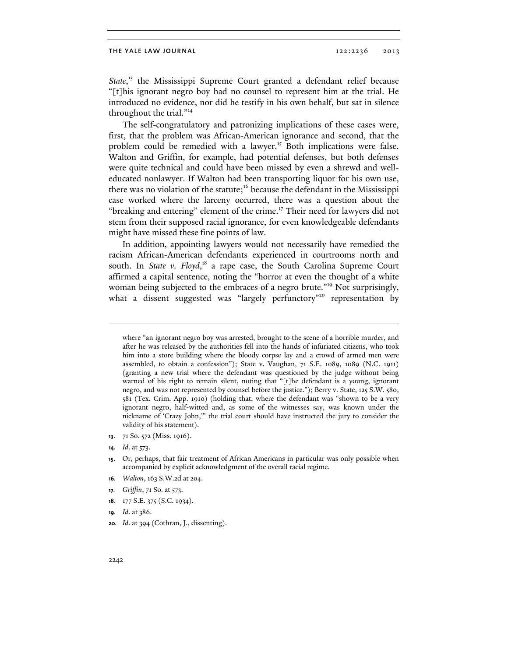State,<sup>13</sup> the Mississippi Supreme Court granted a defendant relief because "[t]his ignorant negro boy had no counsel to represent him at the trial. He introduced no evidence, nor did he testify in his own behalf, but sat in silence throughout the trial."14

The self-congratulatory and patronizing implications of these cases were, first, that the problem was African-American ignorance and second, that the problem could be remedied with a lawyer.<sup>15</sup> Both implications were false. Walton and Griffin, for example, had potential defenses, but both defenses were quite technical and could have been missed by even a shrewd and welleducated nonlawyer. If Walton had been transporting liquor for his own use, there was no violation of the statute;<sup>16</sup> because the defendant in the Mississippi case worked where the larceny occurred, there was a question about the "breaking and entering" element of the crime.<sup>17</sup> Their need for lawyers did not stem from their supposed racial ignorance, for even knowledgeable defendants might have missed these fine points of law.

In addition, appointing lawyers would not necessarily have remedied the racism African-American defendants experienced in courtrooms north and south. In State v. Floyd,<sup>18</sup> a rape case, the South Carolina Supreme Court affirmed a capital sentence, noting the "horror at even the thought of a white woman being subjected to the embraces of a negro brute."<sup>19</sup> Not surprisingly, what a dissent suggested was "largely perfunctory"<sup>20</sup> representation by

**13**. 71 So. 572 (Miss. 1916).

 $\overline{a}$ 

- **16***. Walton*, 163 S.W.2d at 204.
- **17***. Griffin*, 71 So. at 573.
- **18**. 177 S.E. 375 (S.C. 1934).
- **19***. Id*. at 386.
- **20***. Id*. at 394 (Cothran, J., dissenting).

where "an ignorant negro boy was arrested, brought to the scene of a horrible murder, and after he was released by the authorities fell into the hands of infuriated citizens, who took him into a store building where the bloody corpse lay and a crowd of armed men were assembled, to obtain a confession"); State v. Vaughan, 71 S.E. 1089, 1089 (N.C. 1911) (granting a new trial where the defendant was questioned by the judge without being warned of his right to remain silent, noting that "[t]he defendant is a young, ignorant negro, and was not represented by counsel before the justice."); Berry v. State, 125 S.W. 580, 581 (Tex. Crim. App. 1910) (holding that, where the defendant was "shown to be a very ignorant negro, half-witted and, as some of the witnesses say, was known under the nickname of 'Crazy John,'" the trial court should have instructed the jury to consider the validity of his statement).

**<sup>14</sup>***. Id*. at 573.

**<sup>15</sup>**. Or, perhaps, that fair treatment of African Americans in particular was only possible when accompanied by explicit acknowledgment of the overall racial regime.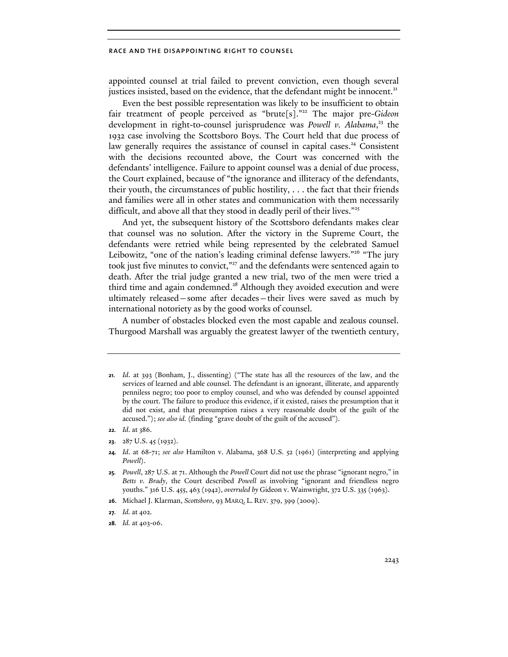appointed counsel at trial failed to prevent conviction, even though several justices insisted, based on the evidence, that the defendant might be innocent.<sup>21</sup>

Even the best possible representation was likely to be insufficient to obtain fair treatment of people perceived as "brute[s]."<sup>22</sup> The major pre-*Gideon* development in right-to-counsel jurisprudence was *Powell v. Alabama*, 23 the 1932 case involving the Scottsboro Boys. The Court held that due process of law generally requires the assistance of counsel in capital cases.<sup>24</sup> Consistent with the decisions recounted above, the Court was concerned with the defendants' intelligence. Failure to appoint counsel was a denial of due process, the Court explained, because of "the ignorance and illiteracy of the defendants, their youth, the circumstances of public hostility, . . . the fact that their friends and families were all in other states and communication with them necessarily difficult, and above all that they stood in deadly peril of their lives."<sup>25</sup>

And yet, the subsequent history of the Scottsboro defendants makes clear that counsel was no solution. After the victory in the Supreme Court, the defendants were retried while being represented by the celebrated Samuel Leibowitz, "one of the nation's leading criminal defense lawyers."<sup>26</sup> "The jury took just five minutes to convict,"<sup>27</sup> and the defendants were sentenced again to death. After the trial judge granted a new trial, two of the men were tried a third time and again condemned.<sup>28</sup> Although they avoided execution and were ultimately released—some after decades—their lives were saved as much by international notoriety as by the good works of counsel.

A number of obstacles blocked even the most capable and zealous counsel. Thurgood Marshall was arguably the greatest lawyer of the twentieth century,

**<sup>21</sup>***. Id*. at 393 (Bonham, J., dissenting) ("The state has all the resources of the law, and the services of learned and able counsel. The defendant is an ignorant, illiterate, and apparently penniless negro; too poor to employ counsel, and who was defended by counsel appointed by the court. The failure to produce this evidence, if it existed, raises the presumption that it did not exist, and that presumption raises a very reasonable doubt of the guilt of the accused."); *see also id.* (finding "grave doubt of the guilt of the accused").

**<sup>22</sup>***. Id*. at 386.

**<sup>23</sup>**. 287 U.S. 45 (1932).

**<sup>24</sup>***. Id*. at 68-71; *see also* Hamilton v. Alabama, 368 U.S. 52 (1961) (interpreting and applying *Powell*).

**<sup>25</sup>***. Powell*, 287 U.S. at 71. Although the *Powell* Court did not use the phrase "ignorant negro," in *Betts v. Brady*, the Court described *Powell* as involving "ignorant and friendless negro youths." 316 U.S. 455, 463 (1942), *overruled by* Gideon v. Wainwright, 372 U.S. 335 (1963).

**<sup>26</sup>**. Michael J. Klarman, *Scottsboro*, 93 MARQ. L. REV. 379, 399 (2009).

**<sup>27</sup>***. Id.* at 402.

**<sup>28</sup>***. Id.* at 403-06.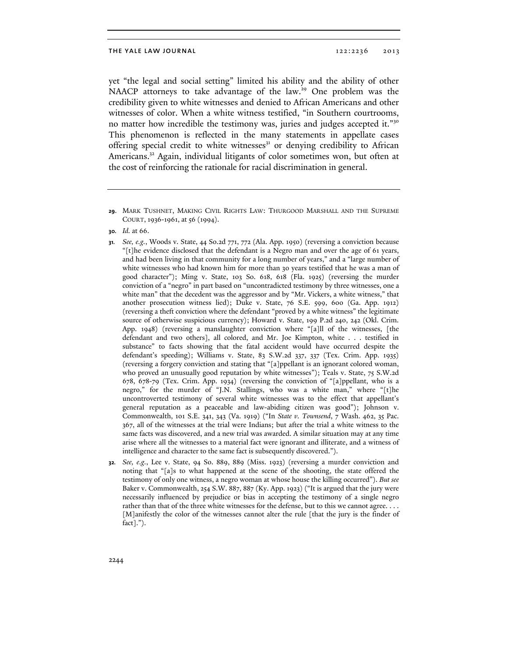yet "the legal and social setting" limited his ability and the ability of other NAACP attorneys to take advantage of the law.<sup>29</sup> One problem was the credibility given to white witnesses and denied to African Americans and other witnesses of color. When a white witness testified, "in Southern courtrooms, no matter how incredible the testimony was, juries and judges accepted it."<sup>30</sup> This phenomenon is reflected in the many statements in appellate cases offering special credit to white witnesses $31$  or denying credibility to African Americans.<sup>32</sup> Again, individual litigants of color sometimes won, but often at the cost of reinforcing the rationale for racial discrimination in general.

**32***. See, e.g.*, Lee v. State, 94 So. 889, 889 (Miss. 1923) (reversing a murder conviction and noting that "[a]s to what happened at the scene of the shooting, the state offered the testimony of only one witness, a negro woman at whose house the killing occurred"). *But see* Baker v. Commonwealth, 254 S.W. 887, 887 (Ky. App. 1923) ("It is argued that the jury were necessarily influenced by prejudice or bias in accepting the testimony of a single negro rather than that of the three white witnesses for the defense, but to this we cannot agree. . . . [M]anifestly the color of the witnesses cannot alter the rule [that the jury is the finder of fact].").

**<sup>29</sup>**. MARK TUSHNET, MAKING CIVIL RIGHTS LAW: THURGOOD MARSHALL AND THE SUPREME COURT, 1936-1961, at 56 (1994).

**<sup>30</sup>***. Id.* at 66.

**<sup>31</sup>***. See, e.g.*, Woods v. State, 44 So.2d 771, 772 (Ala. App. 1950) (reversing a conviction because "[t]he evidence disclosed that the defendant is a Negro man and over the age of 61 years, and had been living in that community for a long number of years," and a "large number of white witnesses who had known him for more than 30 years testified that he was a man of good character"); Ming v. State, 103 So. 618, 618 (Fla. 1925) (reversing the murder conviction of a "negro" in part based on "uncontradicted testimony by three witnesses, one a white man" that the decedent was the aggressor and by "Mr. Vickers, a white witness," that another prosecution witness lied); Duke v. State, 76 S.E. 599, 600 (Ga. App. 1912) (reversing a theft conviction where the defendant "proved by a white witness" the legitimate source of otherwise suspicious currency); Howard v. State, 199 P.2d 240, 242 (Okl. Crim. App. 1948) (reversing a manslaughter conviction where "[a]ll of the witnesses, [the defendant and two others], all colored, and Mr. Joe Kimpton, white . . . testified in substance" to facts showing that the fatal accident would have occurred despite the defendant's speeding); Williams v. State, 83 S.W.2d 337, 337 (Tex. Crim. App. 1935) (reversing a forgery conviction and stating that "[a]ppellant is an ignorant colored woman, who proved an unusually good reputation by white witnesses"); Teals v. State, 75 S.W.2d 678, 678-79 (Tex. Crim. App. 1934) (reversing the conviction of "[a]ppellant, who is a negro," for the murder of "J.N. Stallings, who was a white man," where "[t]he uncontroverted testimony of several white witnesses was to the effect that appellant's general reputation as a peaceable and law-abiding citizen was good"); Johnson v. Commonwealth, 101 S.E. 341, 343 (Va. 1919) ("In *State v. Townsend*, 7 Wash. 462, 35 Pac. 367, all of the witnesses at the trial were Indians; but after the trial a white witness to the same facts was discovered, and a new trial was awarded. A similar situation may at any time arise where all the witnesses to a material fact were ignorant and illiterate, and a witness of intelligence and character to the same fact is subsequently discovered.").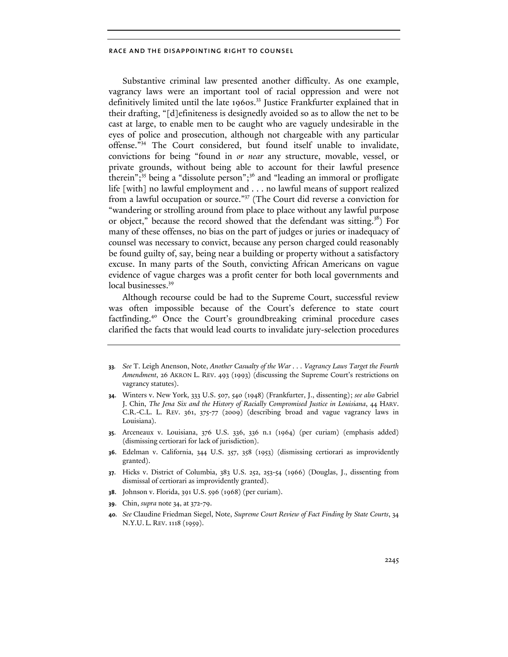Substantive criminal law presented another difficulty. As one example, vagrancy laws were an important tool of racial oppression and were not definitively limited until the late 1960s.<sup>33</sup> Justice Frankfurter explained that in their drafting, "[d]efiniteness is designedly avoided so as to allow the net to be cast at large, to enable men to be caught who are vaguely undesirable in the eyes of police and prosecution, although not chargeable with any particular offense."34 The Court considered, but found itself unable to invalidate, convictions for being "found in *or near* any structure, movable, vessel, or private grounds, without being able to account for their lawful presence therein";<sup>35</sup> being a "dissolute person";<sup>36</sup> and "leading an immoral or profligate life [with] no lawful employment and . . . no lawful means of support realized from a lawful occupation or source."37 (The Court did reverse a conviction for "wandering or strolling around from place to place without any lawful purpose or object," because the record showed that the defendant was sitting.<sup>38</sup>) For many of these offenses, no bias on the part of judges or juries or inadequacy of counsel was necessary to convict, because any person charged could reasonably be found guilty of, say, being near a building or property without a satisfactory excuse. In many parts of the South, convicting African Americans on vague evidence of vague charges was a profit center for both local governments and local businesses.<sup>39</sup>

Although recourse could be had to the Supreme Court, successful review was often impossible because of the Court's deference to state court factfinding.<sup>40</sup> Once the Court's groundbreaking criminal procedure cases clarified the facts that would lead courts to invalidate jury-selection procedures

- **33***. See* T. Leigh Anenson, Note, *Another Casualty of the War . . . Vagrancy Laws Target the Fourth Amendment*, 26 AKRON L. REV. 493 (1993) (discussing the Supreme Court's restrictions on vagrancy statutes).
- **34**. Winters v. New York, 333 U.S. 507, 540 (1948) (Frankfurter, J., dissenting); *see also* Gabriel J. Chin, *The Jena Six and the History of Racially Compromised Justice in Louisiana*, 44 HARV. C.R.-C.L. L. REV. 361, 375-77 (2009) (describing broad and vague vagrancy laws in Louisiana).
- **35**. Arceneaux v. Louisiana, 376 U.S. 336, 336 n.1 (1964) (per curiam) (emphasis added) (dismissing certiorari for lack of jurisdiction).
- **36**. Edelman v. California, 344 U.S. 357, 358 (1953) (dismissing certiorari as improvidently granted).
- **37**. Hicks v. District of Columbia, 383 U.S. 252, 253-54 (1966) (Douglas, J., dissenting from dismissal of certiorari as improvidently granted).
- **38**. Johnson v. Florida, 391 U.S. 596 (1968) (per curiam).
- **39**. Chin, *supra* note 34, at 372-79.
- **40***. See* Claudine Friedman Siegel, Note, *Supreme Court Review of Fact Finding by State Courts*, 34 N.Y.U. L. REV. 1118 (1959).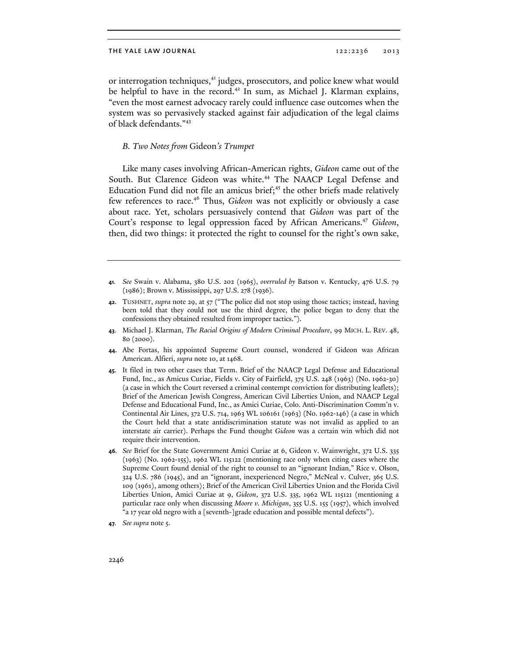or interrogation techniques,<sup>41</sup> judges, prosecutors, and police knew what would be helpful to have in the record.<sup>42</sup> In sum, as Michael J. Klarman explains, "even the most earnest advocacy rarely could influence case outcomes when the system was so pervasively stacked against fair adjudication of the legal claims of black defendants."<sup>43</sup>

# *B. Two Notes from* Gideon*'s Trumpet*

Like many cases involving African-American rights, *Gideon* came out of the South. But Clarence Gideon was white.<sup>44</sup> The NAACP Legal Defense and Education Fund did not file an amicus brief; $45$  the other briefs made relatively few references to race.<sup>46</sup> Thus, *Gideon* was not explicitly or obviously a case about race. Yet, scholars persuasively contend that *Gideon* was part of the Court's response to legal oppression faced by African Americans.47 *Gideon*, then, did two things: it protected the right to counsel for the right's own sake,

- **41***. See* Swain v. Alabama, 380 U.S. 202 (1965), *overruled by* Batson v. Kentucky, 476 U.S. 79 (1986); Brown v. Mississippi, 297 U.S. 278 (1936).
- **42**. TUSHNET, *supra* note 29, at 57 ("The police did not stop using those tactics; instead, having been told that they could not use the third degree, the police began to deny that the confessions they obtained resulted from improper tactics.").
- **43**. Michael J. Klarman, *The Racial Origins of Modern Criminal Procedure*, 99 MICH. L. REV. 48, 80 (2000).
- **44**. Abe Fortas, his appointed Supreme Court counsel, wondered if Gideon was African American. Alfieri, *supra* note 10, at 1468.
- **45**. It filed in two other cases that Term. Brief of the NAACP Legal Defense and Educational Fund, Inc*.*, as Amicus Curiae, Fields v. City of Fairfield, 375 U.S. 248 (1963) (No. 1962-30) (a case in which the Court reversed a criminal contempt conviction for distributing leaflets); Brief of the American Jewish Congress, American Civil Liberties Union, and NAACP Legal Defense and Educational Fund, Inc., as Amici Curiae, Colo. Anti-Discrimination Comm'n v. Continental Air Lines, 372 U.S. 714, 1963 WL 106161 (1963) (No. 1962-146) (a case in which the Court held that a state antidiscrimination statute was not invalid as applied to an interstate air carrier). Perhaps the Fund thought *Gideon* was a certain win which did not require their intervention.
- **46***. See* Brief for the State Government Amici Curiae at 6, Gideon v. Wainwright, 372 U.S. 335 (1963) (No. 1962-155), 1962 WL 115122 (mentioning race only when citing cases where the Supreme Court found denial of the right to counsel to an "ignorant Indian," Rice v. Olson, 324 U.S. 786 (1945), and an "ignorant, inexperienced Negro," McNeal v. Culver, 365 U.S. 109 (1961), among others); Brief of the American Civil Liberties Union and the Florida Civil Liberties Union, Amici Curiae at 9, *Gideon*, 372 U.S. 335, 1962 WL 115121 (mentioning a particular race only when discussing *Moore v. Michigan*, 355 U.S. 155 (1957), which involved "a 17 year old negro with a [seventh-]grade education and possible mental defects").
- **47***. See supra* note 5.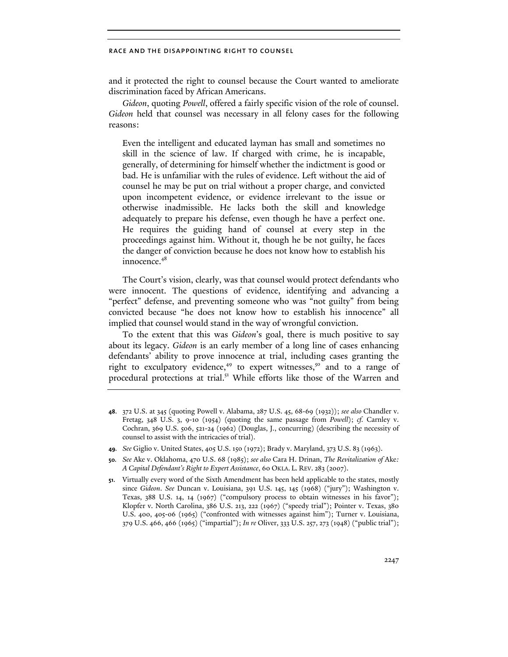and it protected the right to counsel because the Court wanted to ameliorate discrimination faced by African Americans.

*Gideon*, quoting *Powell*, offered a fairly specific vision of the role of counsel. *Gideon* held that counsel was necessary in all felony cases for the following reasons:

Even the intelligent and educated layman has small and sometimes no skill in the science of law. If charged with crime, he is incapable, generally, of determining for himself whether the indictment is good or bad. He is unfamiliar with the rules of evidence. Left without the aid of counsel he may be put on trial without a proper charge, and convicted upon incompetent evidence, or evidence irrelevant to the issue or otherwise inadmissible. He lacks both the skill and knowledge adequately to prepare his defense, even though he have a perfect one. He requires the guiding hand of counsel at every step in the proceedings against him. Without it, though he be not guilty, he faces the danger of conviction because he does not know how to establish his innocence.<sup>48</sup>

The Court's vision, clearly, was that counsel would protect defendants who were innocent. The questions of evidence, identifying and advancing a "perfect" defense, and preventing someone who was "not guilty" from being convicted because "he does not know how to establish his innocence" all implied that counsel would stand in the way of wrongful conviction.

To the extent that this was *Gideon*'s goal, there is much positive to say about its legacy. *Gideon* is an early member of a long line of cases enhancing defendants' ability to prove innocence at trial, including cases granting the right to exculpatory evidence,<sup>49</sup> to expert witnesses,<sup>50</sup> and to a range of procedural protections at trial.<sup>51</sup> While efforts like those of the Warren and

- **48**. 372 U.S. at 345 (quoting Powell v. Alabama, 287 U.S. 45, 68-69 (1932)); *see also* Chandler v. Fretag, 348 U.S. 3, 9-10 (1954) (quoting the same passage from *Powell*); *cf.* Carnley v. Cochran, 369 U.S. 506, 521-24 (1962) (Douglas, J., concurring) (describing the necessity of counsel to assist with the intricacies of trial).
- **49***. See* Giglio v. United States, 405 U.S. 150 (1972); Brady v. Maryland, 373 U.S. 83 (1963).
- **50***. See* Ake v. Oklahoma, 470 U.S. 68 (1985); *see also* Cara H. Drinan, *The Revitalization of* Ake*: A Capital Defendant's Right to Expert Assistance*, 60 OKLA. L. REV. 283 (2007).
- **51**. Virtually every word of the Sixth Amendment has been held applicable to the states, mostly since *Gideon*. *See* Duncan v. Louisiana, 391 U.S. 145, 145 (1968) ("jury"); Washington v. Texas, 388 U.S. 14, 14 (1967) ("compulsory process to obtain witnesses in his favor"); Klopfer v. North Carolina, 386 U.S. 213, 222 (1967) ("speedy trial"); Pointer v. Texas, 380 U.S. 400, 405-06 (1965) ("confronted with witnesses against him"); Turner v. Louisiana, 379 U.S. 466, 466 (1965) ("impartial"); *In re* Oliver, 333 U.S. 257, 273 (1948) ("public trial");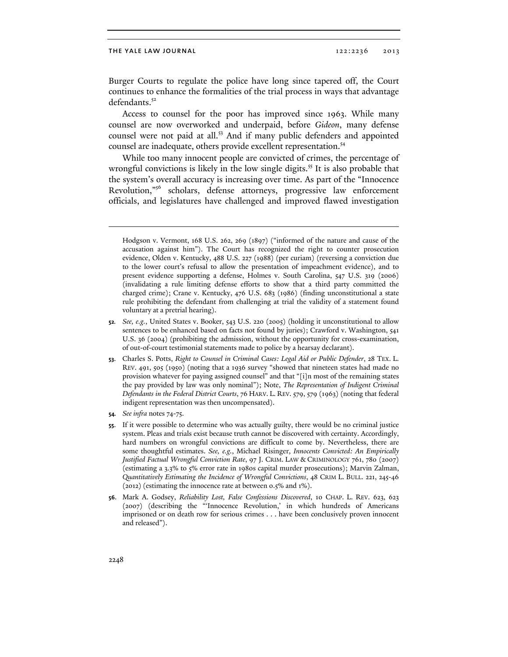Burger Courts to regulate the police have long since tapered off, the Court continues to enhance the formalities of the trial process in ways that advantage defendants.<sup>52</sup>

Access to counsel for the poor has improved since 1963. While many counsel are now overworked and underpaid, before *Gideon*, many defense counsel were not paid at all.<sup>53</sup> And if many public defenders and appointed counsel are inadequate, others provide excellent representation.<sup>54</sup>

While too many innocent people are convicted of crimes, the percentage of wrongful convictions is likely in the low single digits.<sup>55</sup> It is also probable that the system's overall accuracy is increasing over time. As part of the "Innocence Revolution,"56 scholars, defense attorneys, progressive law enforcement officials, and legislatures have challenged and improved flawed investigation

- **53**. Charles S. Potts, *Right to Counsel in Criminal Cases: Legal Aid or Public Defender*, 28 TEX. L. REV. 491, 505 (1950) (noting that a 1936 survey "showed that nineteen states had made no provision whatever for paying assigned counsel" and that "[i]n most of the remaining states the pay provided by law was only nominal"); Note, *The Representation of Indigent Criminal Defendants in the Federal District Courts*, 76 HARV. L. REV. 579, 579 (1963) (noting that federal indigent representation was then uncompensated).
- **54***. See infra* notes 74-75.
- **55**. If it were possible to determine who was actually guilty, there would be no criminal justice system. Pleas and trials exist because truth cannot be discovered with certainty. Accordingly, hard numbers on wrongful convictions are difficult to come by. Nevertheless, there are some thoughtful estimates. *See, e.g.*, Michael Risinger, *Innocents Convicted: An Empirically Justified Factual Wrongful Conviction Rate*, 97 J. CRIM. LAW & CRIMINOLOGY 761, 780 (2007) (estimating a 3.3% to 5% error rate in 1980s capital murder prosecutions); Marvin Zalman, *Quantitatively Estimating the Incidence of Wrongful Convictions*, 48 CRIM L. BULL. 221, 245-46 (2012) (estimating the innocence rate at between 0.5% and 1%).
- **56**. Mark A. Godsey, *Reliability Lost, False Confessions Discovered*, 10 CHAP. L. REV. 623, 623 (2007) (describing the "'Innocence Revolution,' in which hundreds of Americans imprisoned or on death row for serious crimes . . . have been conclusively proven innocent and released").

 $\overline{a}$ 

Hodgson v. Vermont, 168 U.S. 262, 269 (1897) ("informed of the nature and cause of the accusation against him"). The Court has recognized the right to counter prosecution evidence, Olden v. Kentucky, 488 U.S. 227 (1988) (per curiam) (reversing a conviction due to the lower court's refusal to allow the presentation of impeachment evidence), and to present evidence supporting a defense, Holmes v. South Carolina, 547 U.S. 319 (2006) (invalidating a rule limiting defense efforts to show that a third party committed the charged crime); Crane v. Kentucky, 476 U.S. 683 (1986) (finding unconstitutional a state rule prohibiting the defendant from challenging at trial the validity of a statement found voluntary at a pretrial hearing).

**<sup>52</sup>***. See, e.g.*, United States v. Booker, 543 U.S. 220 (2005) (holding it unconstitutional to allow sentences to be enhanced based on facts not found by juries); Crawford v. Washington, 541 U.S. 36 (2004) (prohibiting the admission, without the opportunity for cross-examination, of out-of-court testimonial statements made to police by a hearsay declarant).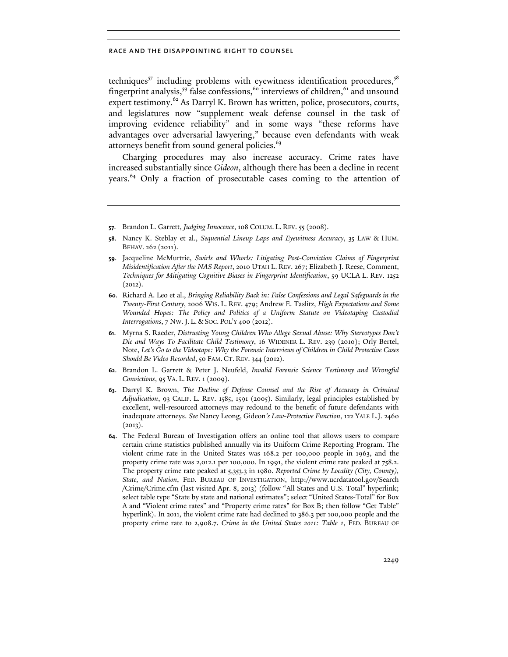techniques $57$  including problems with eyewitness identification procedures,  $58$ fingerprint analysis,<sup>59</sup> false confessions,<sup>60</sup> interviews of children,<sup>61</sup> and unsound expert testimony.<sup>62</sup> As Darryl K. Brown has written, police, prosecutors, courts, and legislatures now "supplement weak defense counsel in the task of improving evidence reliability" and in some ways "these reforms have advantages over adversarial lawyering," because even defendants with weak attorneys benefit from sound general policies.<sup>63</sup>

Charging procedures may also increase accuracy. Crime rates have increased substantially since *Gideon*, although there has been a decline in recent years.<sup>64</sup> Only a fraction of prosecutable cases coming to the attention of

- **58**. Nancy K. Steblay et al., *Sequential Lineup Laps and Eyewitness Accuracy*, 35 LAW & HUM. BEHAV. 262 (2011).
- **59**. Jacqueline McMurtrie, *Swirls and Whorls: Litigating Post-Conviction Claims of Fingerprint Misidentification After the NAS Report*, 2010 UTAH L. REV. 267; Elizabeth J. Reese, Comment, *Techniques for Mitigating Cognitive Biases in Fingerprint Identification*, 59 UCLA L. REV. 1252  $(2012).$
- **60**. Richard A. Leo et al., *Bringing Reliability Back in: False Confessions and Legal Safeguards in the Twenty-First Century*, 2006 WIS. L. REV. 479; Andrew E. Taslitz, *High Expectations and Some Wounded Hopes: The Policy and Politics of a Uniform Statute on Videotaping Custodial Interrogations*, 7 NW.J. L. & SOC. POL'Y 400 (2012).
- **61**. Myrna S. Raeder, *Distrusting Young Children Who Allege Sexual Abuse: Why Stereotypes Don't Die and Ways To Facilitate Child Testimony*, 16 WIDENER L. REV. 239 (2010); Orly Bertel, Note, *Let's Go to the Videotape: Why the Forensic Interviews of Children in Child Protective Cases Should Be Video Recorded*, 50 FAM. CT. REV. 344 (2012).
- **62**. Brandon L. Garrett & Peter J. Neufeld, *Invalid Forensic Science Testimony and Wrongful Convictions*, 95 VA. L. REV. 1 (2009).
- **63**. Darryl K. Brown, *The Decline of Defense Counsel and the Rise of Accuracy in Criminal Adjudication*, 93 CALIF. L. REV. 1585, 1591 (2005). Similarly, legal principles established by excellent, well-resourced attorneys may redound to the benefit of future defendants with inadequate attorneys. *See* Nancy Leong, Gideon*'s Law-Protective Function*, 122 YALE L.J. 2460  $(2013).$
- **64**. The Federal Bureau of Investigation offers an online tool that allows users to compare certain crime statistics published annually via its Uniform Crime Reporting Program. The violent crime rate in the United States was 168.2 per 100,000 people in 1963, and the property crime rate was 2,012.1 per 100,000. In 1991, the violent crime rate peaked at 758.2. The property crime rate peaked at 5,353.3 in 1980. *Reported Crime by Locality (City, County), State, and Nation*, FED. BUREAU OF INVESTIGATION, http://www.ucrdatatool.gov/Search /Crime/Crime.cfm (last visited Apr. 8, 2013) (follow "All States and U.S. Total" hyperlink; select table type "State by state and national estimates"; select "United States-Total" for Box A and "Violent crime rates" and "Property crime rates" for Box B; then follow "Get Table" hyperlink). In 2011, the violent crime rate had declined to 386.3 per 100,000 people and the property crime rate to 2,908.7. *Crime in the United States 2011: Table 1*, FED. BUREAU OF

**<sup>57</sup>**. Brandon L. Garrett, *Judging Innocence*, 108 COLUM. L. REV. 55 (2008).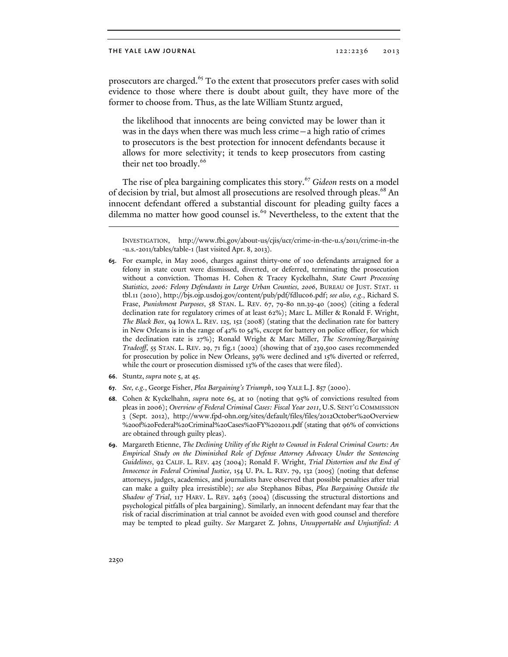prosecutors are charged.<sup>65</sup> To the extent that prosecutors prefer cases with solid evidence to those where there is doubt about guilt, they have more of the former to choose from. Thus, as the late William Stuntz argued,

the likelihood that innocents are being convicted may be lower than it was in the days when there was much less crime—a high ratio of crimes to prosecutors is the best protection for innocent defendants because it allows for more selectivity; it tends to keep prosecutors from casting their net too broadly.<sup>66</sup>

The rise of plea bargaining complicates this story.<sup>67</sup> Gideon rests on a model of decision by trial, but almost all prosecutions are resolved through pleas.<sup>68</sup> An innocent defendant offered a substantial discount for pleading guilty faces a dilemma no matter how good counsel is.<sup>69</sup> Nevertheless, to the extent that the

- **66**. Stuntz, *supra* note 5, at 45.
- **67***. See, e.g.*, George Fisher, *Plea Bargaining's Triumph*, 109 YALE L.J. 857 (2000).
- **68***.* Cohen & Kyckelhahn, *supra* note 65, at 10 (noting that 95% of convictions resulted from pleas in 2006); *Overview of Federal Criminal Cases: Fiscal Year 2011*, U.S. SENT'G COMMISSION 3 (Sept. 2012), http://www.fpd-ohn.org/sites/default/files/files/2012October%20Overview %20of%20Federal%20Criminal%20Cases%20FY%202011.pdf (stating that 96% of convictions are obtained through guilty pleas).
- **69**. Margareth Etienne, *The Declining Utility of the Right to Counsel in Federal Criminal Courts: An Empirical Study on the Diminished Role of Defense Attorney Advocacy Under the Sentencing Guidelines*, 92 CALIF. L. REV. 425 (2004); Ronald F. Wright, *Trial Distortion and the End of Innocence in Federal Criminal Justice*, 154 U. PA. L. REV. 79, 132 (2005) (noting that defense attorneys, judges, academics, and journalists have observed that possible penalties after trial can make a guilty plea irresistible); *see also* Stephanos Bibas, *Plea Bargaining Outside the Shadow of Trial*, 117 HARV. L. REV. 2463 (2004) (discussing the structural distortions and psychological pitfalls of plea bargaining). Similarly, an innocent defendant may fear that the risk of racial discrimination at trial cannot be avoided even with good counsel and therefore may be tempted to plead guilty. *See* Margaret Z. Johns, *Unsupportable and Unjustified: A*

 $\overline{a}$ 

INVESTIGATION, http://www.fbi.gov/about-us/cjis/ucr/crime-in-the-u.s/2011/crime-in-the -u.s.-2011/tables/table-1 (last visited Apr. 8, 2013).

**<sup>65</sup>**. For example, in May 2006, charges against thirty-one of 100 defendants arraigned for a felony in state court were dismissed, diverted, or deferred, terminating the prosecution without a conviction. Thomas H. Cohen & Tracey Kyckelhahn, *State Court Processing Statistics, 2006: Felony Defendants in Large Urban Counties, 2006*, BUREAU OF JUST. STAT. 11 tbl.11 (2010), http://bjs.ojp.usdoj.gov/content/pub/pdf/fdluc06.pdf; *see also, e.g.*, Richard S. Frase, *Punishment Purposes*, 58 STAN. L. REV. 67, 79-80 nn.39-40 (2005) (citing a federal declination rate for regulatory crimes of at least 62%); Marc L. Miller & Ronald F. Wright, *The Black Box*, 94 IOWA L. REV. 125, 152 (2008) (stating that the declination rate for battery in New Orleans is in the range of 42% to 54%, except for battery on police officer, for which the declination rate is 27%); Ronald Wright & Marc Miller, *The Screening/Bargaining Tradeoff*, 55 STAN. L. REV. 29, 71 fig.1 (2002) (showing that of 239,500 cases recommended for prosecution by police in New Orleans, 39% were declined and 15% diverted or referred, while the court or prosecution dismissed 13% of the cases that were filed).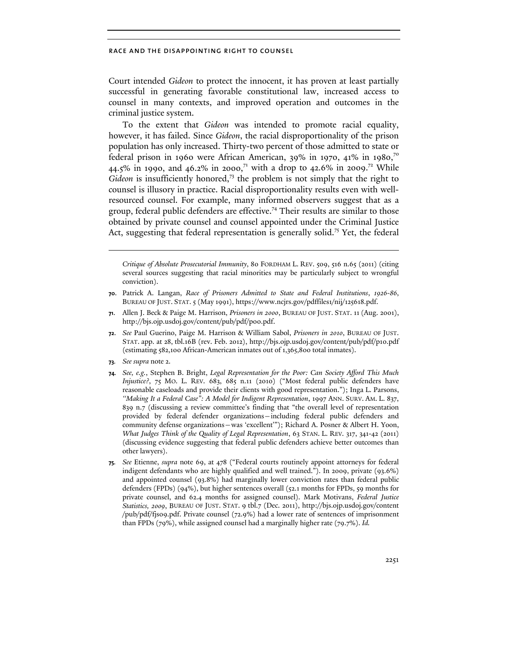Court intended *Gideon* to protect the innocent, it has proven at least partially successful in generating favorable constitutional law, increased access to counsel in many contexts, and improved operation and outcomes in the criminal justice system.

To the extent that *Gideon* was intended to promote racial equality, however, it has failed. Since *Gideon*, the racial disproportionality of the prison population has only increased. Thirty-two percent of those admitted to state or federal prison in 1960 were African American, 39% in 1970, 41% in 1980,<sup>70</sup> 44.5% in 1990, and 46.2% in 2000,<sup>71</sup> with a drop to 42.6% in 2009.<sup>72</sup> While Gideon is insufficiently honored,<sup>73</sup> the problem is not simply that the right to counsel is illusory in practice. Racial disproportionality results even with wellresourced counsel. For example, many informed observers suggest that as a group, federal public defenders are effective.<sup>74</sup> Their results are similar to those obtained by private counsel and counsel appointed under the Criminal Justice Act, suggesting that federal representation is generally solid.<sup>75</sup> Yet, the federal

*Critique of Absolute Prosecutorial Immunity*, 80 FORDHAM L. REV. 509, 516 n.65 (2011) (citing several sources suggesting that racial minorities may be particularly subject to wrongful conviction).

- **70**. Patrick A. Langan, *Race of Prisoners Admitted to State and Federal Institutions*, *1926-86*, BUREAU OF JUST. STAT. 5 (May 1991), https://www.ncjrs.gov/pdffiles1/nij/125618.pdf.
- **71**. Allen J. Beck & Paige M. Harrison, *Prisoners in 2000*, BUREAU OF JUST. STAT. 11 (Aug. 2001), http://bjs.ojp.usdoj.gov/content/pub/pdf/p00.pdf.
- **72**. *See* Paul Guerino, Paige M. Harrison & William Sabol, *Prisoners in 2010*, BUREAU OF JUST. STAT. app. at 28, tbl.16B (rev. Feb. 2012), http://bjs.ojp.usdoj.gov/content/pub/pdf/p10.pdf (estimating 582,100 African-American inmates out of 1,365,800 total inmates).
- **73***. See supra* note 2.

 $\overline{a}$ 

- **74***. See, e.g.*, Stephen B. Bright, *Legal Representation for the Poor: Can Society Afford This Much Injustice?*, 75 MO. L. REV. 683, 685 n.11 (2010) ("Most federal public defenders have reasonable caseloads and provide their clients with good representation."); Inga L. Parsons, *''Making It a Federal Case": A Model for Indigent Representation*, 1997 ANN. SURV. AM. L. 837, 839 n.7 (discussing a review committee's finding that "the overall level of representation provided by federal defender organizations—including federal public defenders and community defense organizations—was 'excellent'"); Richard A. Posner & Albert H. Yoon, *What Judges Think of the Quality of Legal Representation*, 63 STAN. L. REV. 317, 341-42 (2011) (discussing evidence suggesting that federal public defenders achieve better outcomes than other lawyers).
- **75***. See* Etienne, *supra* note 69, at 478 ("Federal courts routinely appoint attorneys for federal indigent defendants who are highly qualified and well trained."). In 2009, private (93.6%) and appointed counsel (93.8%) had marginally lower conviction rates than federal public defenders (FPDs) (94%), but higher sentences overall (52.1 months for FPDs, 59 months for private counsel, and 62.4 months for assigned counsel). Mark Motivans, *Federal Justice Statistics, 2009*, BUREAU OF JUST. STAT. 9 tbl.7 (Dec. 2011), http://bjs.ojp.usdoj.gov/content /pub/pdf/fjs09.pdf. Private counsel (72.9%) had a lower rate of sentences of imprisonment than FPDs (79%), while assigned counsel had a marginally higher rate (79.7%). *Id.*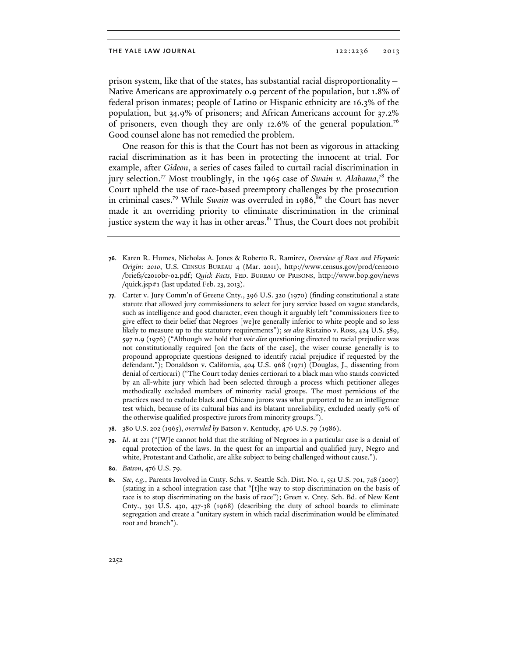prison system, like that of the states, has substantial racial disproportionality— Native Americans are approximately 0.9 percent of the population, but 1.8% of federal prison inmates; people of Latino or Hispanic ethnicity are 16.3% of the population, but 34.9% of prisoners; and African Americans account for 37.2% of prisoners, even though they are only 12.6% of the general population.<sup>76</sup> Good counsel alone has not remedied the problem.

One reason for this is that the Court has not been as vigorous in attacking racial discrimination as it has been in protecting the innocent at trial. For example, after *Gideon*, a series of cases failed to curtail racial discrimination in jury selection.<sup>77</sup> Most troublingly, in the 1965 case of *Swain v. Alabama*,<sup>78</sup> the Court upheld the use of race-based preemptory challenges by the prosecution in criminal cases.<sup>79</sup> While *Swain* was overruled in 1986,<sup>80</sup> the Court has never made it an overriding priority to eliminate discrimination in the criminal justice system the way it has in other areas. $81$ <sup>81</sup> Thus, the Court does not prohibit

- **76**. Karen R. Humes, Nicholas A. Jones & Roberto R. Ramirez, *Overview of Race and Hispanic Origin: 2010*, U.S. CENSUS BUREAU 4 (Mar. 2011), http://www.census.gov/prod/cen2010 /briefs/c2010br-02.pdf; *Quick Facts*, FED. BUREAU OF PRISONS, http://www.bop.gov/news /quick.jsp#1 (last updated Feb. 23, 2013).
- **77**. Carter v. Jury Comm'n of Greene Cnty., 396 U.S. 320 (1970) (finding constitutional a state statute that allowed jury commissioners to select for jury service based on vague standards, such as intelligence and good character, even though it arguably left "commissioners free to give effect to their belief that Negroes [we]re generally inferior to white people and so less likely to measure up to the statutory requirements"); *see also* Ristaino v. Ross, 424 U.S. 589, 597 n.9 (1976) ("Although we hold that *voir dire* questioning directed to racial prejudice was not constitutionally required [on the facts of the case], the wiser course generally is to propound appropriate questions designed to identify racial prejudice if requested by the defendant."); Donaldson v. California, 404 U.S. 968 (1971) (Douglas, J., dissenting from denial of certiorari) ("The Court today denies certiorari to a black man who stands convicted by an all-white jury which had been selected through a process which petitioner alleges methodically excluded members of minority racial groups. The most pernicious of the practices used to exclude black and Chicano jurors was what purported to be an intelligence test which, because of its cultural bias and its blatant unreliability, excluded nearly 50% of the otherwise qualified prospective jurors from minority groups.").
- **78**. 380 U.S. 202 (1965), *overruled by* Batson v. Kentucky, 476 U.S. 79 (1986).
- **79***. Id*. at 221 ("[W]e cannot hold that the striking of Negroes in a particular case is a denial of equal protection of the laws. In the quest for an impartial and qualified jury, Negro and white, Protestant and Catholic, are alike subject to being challenged without cause.").
- **80***. Batson*, 476 U.S. 79.
- **81***. See, e.g.*, Parents Involved in Cmty. Schs. v. Seattle Sch. Dist. No. 1, 551 U.S. 701, 748 (2007) (stating in a school integration case that "[t]he way to stop discrimination on the basis of race is to stop discriminating on the basis of race"); Green v. Cnty. Sch. Bd. of New Kent Cnty., 391 U.S. 430, 437-38 (1968) (describing the duty of school boards to eliminate segregation and create a "unitary system in which racial discrimination would be eliminated root and branch").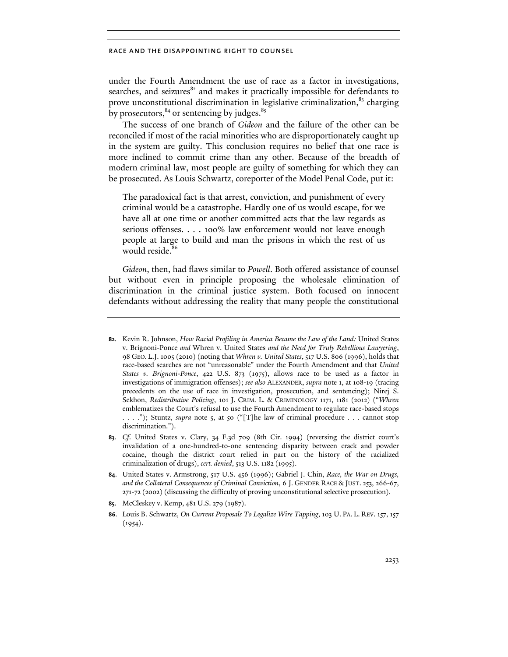under the Fourth Amendment the use of race as a factor in investigations, searches, and seizures<sup>82</sup> and makes it practically impossible for defendants to prove unconstitutional discrimination in legislative criminalization, $83$  charging by prosecutors, $84$  or sentencing by judges. $85$ 

The success of one branch of *Gideon* and the failure of the other can be reconciled if most of the racial minorities who are disproportionately caught up in the system are guilty. This conclusion requires no belief that one race is more inclined to commit crime than any other. Because of the breadth of modern criminal law, most people are guilty of something for which they can be prosecuted. As Louis Schwartz, coreporter of the Model Penal Code, put it:

The paradoxical fact is that arrest, conviction, and punishment of every criminal would be a catastrophe. Hardly one of us would escape, for we have all at one time or another committed acts that the law regards as serious offenses. . . . 100% law enforcement would not leave enough people at large to build and man the prisons in which the rest of us would reside.<sup>8</sup>

*Gideon*, then, had flaws similar to *Powell*. Both offered assistance of counsel but without even in principle proposing the wholesale elimination of discrimination in the criminal justice system. Both focused on innocent defendants without addressing the reality that many people the constitutional

- **85**. McCleskey v. Kemp, 481 U.S. 279 (1987).
- **86**. Louis B. Schwartz, *On Current Proposals To Legalize Wire Tapping*, 103 U. PA. L. REV. 157, 157  $(1954).$

**<sup>82</sup>**. Kevin R. Johnson, *How Racial Profiling in America Became the Law of the Land:* United States v. Brignoni-Ponce *and* Whren v. United States *and the Need for Truly Rebellious Lawyering*, 98 GEO. L.J. 1005 (2010) (noting that *Whren v. United States*, 517 U.S. 806 (1996), holds that race-based searches are not "unreasonable" under the Fourth Amendment and that *United States v. Brignoni-Ponce*, 422 U.S. 873 (1975), allows race to be used as a factor in investigations of immigration offenses); *see also* ALEXANDER, *supra* note 1, at 108-19 (tracing precedents on the use of race in investigation, prosecution, and sentencing); Nirej S. Sekhon, *Redistributive Policing*, 101 J. CRIM. L. & CRIMINOLOGY 1171, 1181 (2012) ("*Whren* emblematizes the Court's refusal to use the Fourth Amendment to regulate race-based stops . . . ."); Stuntz, *supra* note 5, at 50 ("[T]he law of criminal procedure . . . cannot stop discrimination.").

**<sup>83</sup>***. Cf*. United States v. Clary, 34 F.3d 709 (8th Cir. 1994) (reversing the district court's invalidation of a one-hundred-to-one sentencing disparity between crack and powder cocaine, though the district court relied in part on the history of the racialized criminalization of drugs), *cert. denied*, 513 U.S. 1182 (1995).

**<sup>84</sup>**. United States v. Armstrong, 517 U.S. 456 (1996); Gabriel J. Chin, *Race, the War on Drugs, and the Collateral Consequences of Criminal Conviction*, 6 J. GENDER RACE & JUST. 253, 266-67, 271-72 (2002) (discussing the difficulty of proving unconstitutional selective prosecution).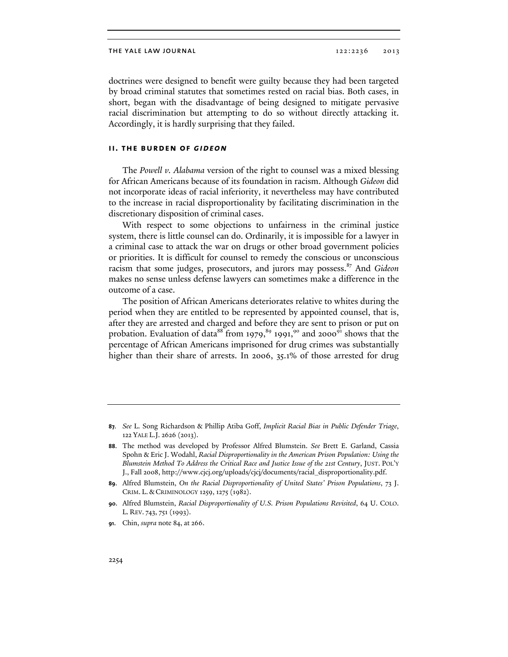doctrines were designed to benefit were guilty because they had been targeted by broad criminal statutes that sometimes rested on racial bias. Both cases, in short, began with the disadvantage of being designed to mitigate pervasive racial discrimination but attempting to do so without directly attacking it. Accordingly, it is hardly surprising that they failed.

#### **ii. the burden of** *gideon*

The *Powell v. Alabama* version of the right to counsel was a mixed blessing for African Americans because of its foundation in racism. Although *Gideon* did not incorporate ideas of racial inferiority, it nevertheless may have contributed to the increase in racial disproportionality by facilitating discrimination in the discretionary disposition of criminal cases.

With respect to some objections to unfairness in the criminal justice system, there is little counsel can do. Ordinarily, it is impossible for a lawyer in a criminal case to attack the war on drugs or other broad government policies or priorities. It is difficult for counsel to remedy the conscious or unconscious racism that some judges, prosecutors, and jurors may possess.87 And *Gideon* makes no sense unless defense lawyers can sometimes make a difference in the outcome of a case.

The position of African Americans deteriorates relative to whites during the period when they are entitled to be represented by appointed counsel, that is, after they are arrested and charged and before they are sent to prison or put on probation. Evaluation of data<sup>88</sup> from 1979,<sup>89</sup> 1991,<sup>90</sup> and 2000<sup>91</sup> shows that the percentage of African Americans imprisoned for drug crimes was substantially higher than their share of arrests. In 2006, 35.1% of those arrested for drug

**<sup>87</sup>***. See* L. Song Richardson & Phillip Atiba Goff, *Implicit Racial Bias in Public Defender Triage*, 122 YALE L.J. 2626 (2013).

**<sup>88</sup>**. The method was developed by Professor Alfred Blumstein. *See* Brett E. Garland, Cassia Spohn & Eric J. Wodahl, *Racial Disproportionality in the American Prison Population: Using the Blumstein Method To Address the Critical Race and Justice Issue of the 21st Century*, JUST. POL'Y J., Fall 2008, http://www.cjcj.org/uploads/cjcj/documents/racial\_disproportionality.pdf.

**<sup>89</sup>**. Alfred Blumstein, *On the Racial Disproportionality of United States' Prison Populations*, 73 J. CRIM. L. & CRIMINOLOGY 1259, 1275 (1982).

**<sup>90</sup>**. Alfred Blumstein, *Racial Disproportionality of U.S. Prison Populations Revisited*, 64 U. COLO. L. REV. 743, 751 (1993).

**<sup>91</sup>**. Chin, *supra* note 84, at 266.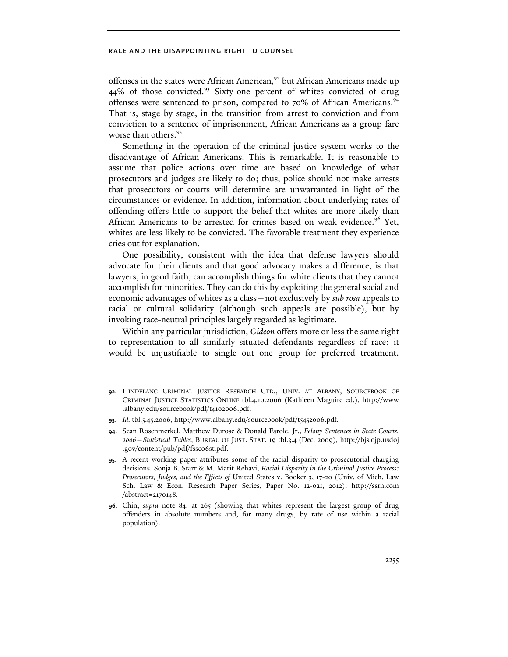offenses in the states were African American,<sup>92</sup> but African Americans made up 44% of those convicted.<sup>93</sup> Sixty-one percent of whites convicted of drug offenses were sentenced to prison, compared to 70% of African Americans.<sup>94</sup> That is, stage by stage, in the transition from arrest to conviction and from conviction to a sentence of imprisonment, African Americans as a group fare worse than others.<sup>95</sup>

Something in the operation of the criminal justice system works to the disadvantage of African Americans. This is remarkable. It is reasonable to assume that police actions over time are based on knowledge of what prosecutors and judges are likely to do; thus, police should not make arrests that prosecutors or courts will determine are unwarranted in light of the circumstances or evidence. In addition, information about underlying rates of offending offers little to support the belief that whites are more likely than African Americans to be arrested for crimes based on weak evidence.<sup>96</sup> Yet, whites are less likely to be convicted. The favorable treatment they experience cries out for explanation.

One possibility, consistent with the idea that defense lawyers should advocate for their clients and that good advocacy makes a difference, is that lawyers, in good faith, can accomplish things for white clients that they cannot accomplish for minorities. They can do this by exploiting the general social and economic advantages of whites as a class—not exclusively by *sub rosa* appeals to racial or cultural solidarity (although such appeals are possible), but by invoking race-neutral principles largely regarded as legitimate.

Within any particular jurisdiction, *Gideon* offers more or less the same right to representation to all similarly situated defendants regardless of race; it would be unjustifiable to single out one group for preferred treatment.

**<sup>92</sup>**. HINDELANG CRIMINAL JUSTICE RESEARCH CTR., UNIV. AT ALBANY, SOURCEBOOK OF CRIMINAL JUSTICE STATISTICS ONLINE tbl.4.10.2006 (Kathleen Maguire ed.), http://www .albany.edu/sourcebook/pdf/t4102006.pdf.

**<sup>93</sup>**. *Id.* tbl.5.45.2006, http://www.albany.edu/sourcebook/pdf/t5452006.pdf.

**<sup>94</sup>**. Sean Rosenmerkel, Matthew Durose & Donald Farole, Jr., *Felony Sentences in State Courts, 2006—Statistical Tables*, BUREAU OF JUST. STAT. 19 tbl.3.4 (Dec. 2009), http://bjs.ojp.usdoj .gov/content/pub/pdf/fssc06st.pdf.

**<sup>95</sup>**. A recent working paper attributes some of the racial disparity to prosecutorial charging decisions. Sonja B. Starr & M. Marit Rehavi, *Racial Disparity in the Criminal Justice Process: Prosecutors, Judges, and the Effects of* United States v. Booker 3, 17-20 (Univ. of Mich. Law Sch. Law & Econ. Research Paper Series, Paper No. 12-021, 2012), http://ssrn.com /abstract=2170148.

**<sup>96</sup>**. Chin, *supra* note 84, at 265 (showing that whites represent the largest group of drug offenders in absolute numbers and, for many drugs, by rate of use within a racial population).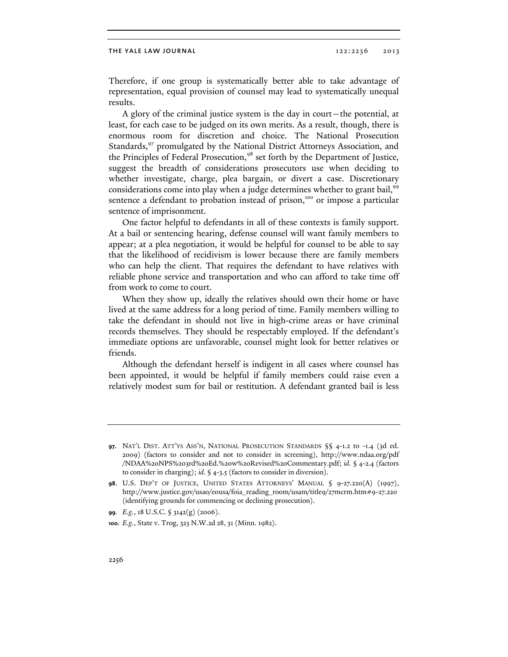Therefore, if one group is systematically better able to take advantage of representation, equal provision of counsel may lead to systematically unequal results.

A glory of the criminal justice system is the day in court—the potential, at least, for each case to be judged on its own merits. As a result, though, there is enormous room for discretion and choice. The National Prosecution Standards,<sup>97</sup> promulgated by the National District Attorneys Association, and the Principles of Federal Prosecution,<sup>98</sup> set forth by the Department of Justice, suggest the breadth of considerations prosecutors use when deciding to whether investigate, charge, plea bargain, or divert a case. Discretionary considerations come into play when a judge determines whether to grant bail,<sup>99</sup> sentence a defendant to probation instead of prison,<sup>100</sup> or impose a particular sentence of imprisonment.

One factor helpful to defendants in all of these contexts is family support. At a bail or sentencing hearing, defense counsel will want family members to appear; at a plea negotiation, it would be helpful for counsel to be able to say that the likelihood of recidivism is lower because there are family members who can help the client. That requires the defendant to have relatives with reliable phone service and transportation and who can afford to take time off from work to come to court.

When they show up, ideally the relatives should own their home or have lived at the same address for a long period of time. Family members willing to take the defendant in should not live in high-crime areas or have criminal records themselves. They should be respectably employed. If the defendant's immediate options are unfavorable, counsel might look for better relatives or friends.

Although the defendant herself is indigent in all cases where counsel has been appointed, it would be helpful if family members could raise even a relatively modest sum for bail or restitution. A defendant granted bail is less

**<sup>97</sup>**. NAT'L DIST. ATT'YS ASS'N, NATIONAL PROSECUTION STANDARDS §§ 4-1.2 to -1.4 (3d ed. 2009) (factors to consider and not to consider in screening), http://www.ndaa.org/pdf /NDAA%20NPS%203rd%20Ed.%20w%20Revised%20Commentary.pdf; *id.* § 4-2.4 (factors to consider in charging); *id*. § 4-3.5 (factors to consider in diversion).

**<sup>98</sup>**. U.S. DEP'T OF JUSTICE, UNITED STATES ATTORNEYS' MANUAL § 9-27.220(A) (1997), http://www.justice.gov/usao/eousa/foia\_reading\_room/usam/title9/27mcrm.htm#9-27.220 (identifying grounds for commencing or declining prosecution).

**<sup>99</sup>***. E.g.*, 18 U.S.C. § 3142(g) (2006).

**<sup>100</sup>***. E.g.*, State v. Trog, 323 N.W.2d 28, 31 (Minn. 1982).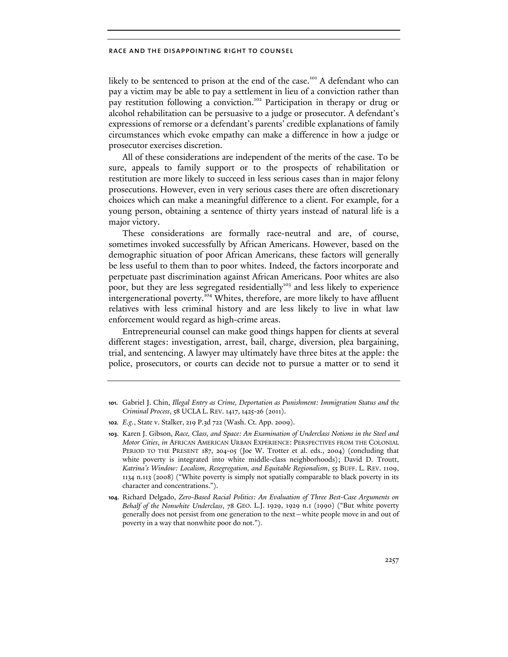likely to be sentenced to prison at the end of the case.<sup>101</sup> A defendant who can pay a victim may be able to pay a settlement in lieu of a conviction rather than pay restitution following a conviction.<sup>102</sup> Participation in therapy or drug or alcohol rehabilitation can be persuasive to a judge or prosecutor. A defendant's expressions of remorse or a defendant's parents' credible explanations of family circumstances which evoke empathy can make a difference in how a judge or prosecutor exercises discretion.

All of these considerations are independent of the merits of the case. To be sure, appeals to family support or to the prospects of rehabilitation or restitution are more likely to succeed in less serious cases than in major felony prosecutions. However, even in very serious cases there are often discretionary choices which can make a meaningful difference to a client. For example, for a young person, obtaining a sentence of thirty years instead of natural life is a major victory.

These considerations are formally race-neutral and are, of course, sometimes invoked successfully by African Americans. However, based on the demographic situation of poor African Americans, these factors will generally be less useful to them than to poor whites. Indeed, the factors incorporate and perpetuate past discrimination against African Americans. Poor whites are also poor, but they are less segregated residentially<sup>103</sup> and less likely to experience intergenerational poverty.<sup>104</sup> Whites, therefore, are more likely to have affluent relatives with less criminal history and are less likely to live in what law enforcement would regard as high-crime areas.

Entrepreneurial counsel can make good things happen for clients at several different stages: investigation, arrest, bail, charge, diversion, plea bargaining, trial, and sentencing. A lawyer may ultimately have three bites at the apple: the police, prosecutors, or courts can decide not to pursue a matter or to send it

**<sup>101</sup>**. Gabriel J. Chin, *Illegal Entry as Crime, Deportation as Punishment: Immigration Status and the Criminal Process*, 58 UCLA L. REV. 1417, 1425-26 (2011).

**<sup>102</sup>***. E.g.*, State v. Stalker, 219 P.3d 722 (Wash. Ct. App. 2009).

**<sup>103</sup>**. Karen J. Gibson, *Race, Class, and Space: An Examination of Underclass Notions in the Steel and Motor Cities*, *in* AFRICAN AMERICAN URBAN EXPERIENCE: PERSPECTIVES FROM THE COLONIAL PERIOD TO THE PRESENT 187, 204-05 (Joe W. Trotter et al. eds., 2004) (concluding that white poverty is integrated into white middle-class neighborhoods); David D. Troutt, *Katrina's Window: Localism, Resegregation, and Equitable Regionalism*, 55 BUFF. L. REV. 1109, 1134 n.113 (2008) ("White poverty is simply not spatially comparable to black poverty in its character and concentrations.").

**<sup>104</sup>**. Richard Delgado, *Zero-Based Racial Politics: An Evaluation of Three Best-Case Arguments on Behalf of the Nonwhite Underclass*, 78 GEO. L.J. 1929, 1929 n.1 (1990) ("But white poverty generally does not persist from one generation to the next—white people move in and out of poverty in a way that nonwhite poor do not.").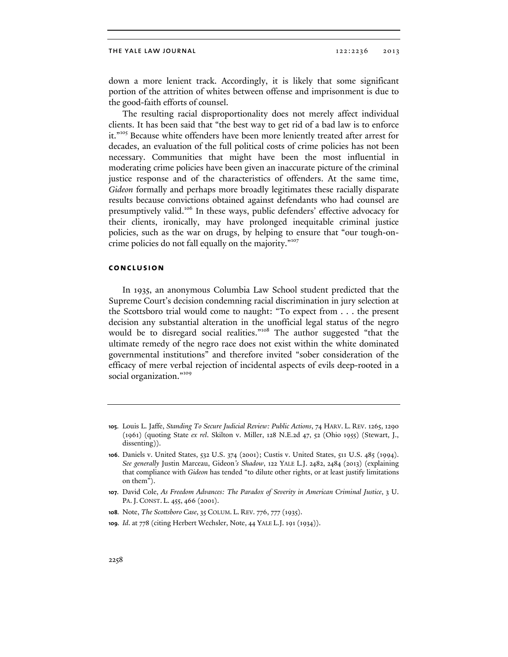down a more lenient track. Accordingly, it is likely that some significant portion of the attrition of whites between offense and imprisonment is due to the good-faith efforts of counsel.

The resulting racial disproportionality does not merely affect individual clients. It has been said that "the best way to get rid of a bad law is to enforce it."<sup>105</sup> Because white offenders have been more leniently treated after arrest for decades, an evaluation of the full political costs of crime policies has not been necessary. Communities that might have been the most influential in moderating crime policies have been given an inaccurate picture of the criminal justice response and of the characteristics of offenders. At the same time, *Gideon* formally and perhaps more broadly legitimates these racially disparate results because convictions obtained against defendants who had counsel are presumptively valid.106 In these ways, public defenders' effective advocacy for their clients, ironically, may have prolonged inequitable criminal justice policies, such as the war on drugs, by helping to ensure that "our tough-oncrime policies do not fall equally on the majority."<sup>107</sup>

### **conclusion**

In 1935, an anonymous Columbia Law School student predicted that the Supreme Court's decision condemning racial discrimination in jury selection at the Scottsboro trial would come to naught: "To expect from . . . the present decision any substantial alteration in the unofficial legal status of the negro would be to disregard social realities."<sup>108</sup> The author suggested "that the ultimate remedy of the negro race does not exist within the white dominated governmental institutions" and therefore invited "sober consideration of the efficacy of mere verbal rejection of incidental aspects of evils deep-rooted in a social organization."<sup>109</sup>

- **108***.* Note, *The Scottsboro Case*, 35 COLUM. L. REV. 776, 777 (1935).
- **109***. Id*. at 778 (citing Herbert Wechsler, Note, 44 YALE L.J. 191 (1934)).

**<sup>105</sup>**. Louis L. Jaffe, *Standing To Secure Judicial Review: Public Actions*, 74 HARV. L. REV. 1265, 1290 (1961) (quoting State *ex rel*. Skilton v. Miller, 128 N.E.2d 47, 52 (Ohio 1955) (Stewart, J., dissenting)).

**<sup>106</sup>**. Daniels v. United States, 532 U.S. 374 (2001); Custis v. United States, 511 U.S. 485 (1994). *See generally* Justin Marceau, Gideon*'s Shadow*, 122 YALE L.J. 2482, 2484 (2013) (explaining that compliance with *Gideon* has tended "to dilute other rights, or at least justify limitations on them").

**<sup>107</sup>**. David Cole, *As Freedom Advances: The Paradox of Severity in American Criminal Justice*, 3 U. PA.J. CONST. L. 455, 466 (2001).